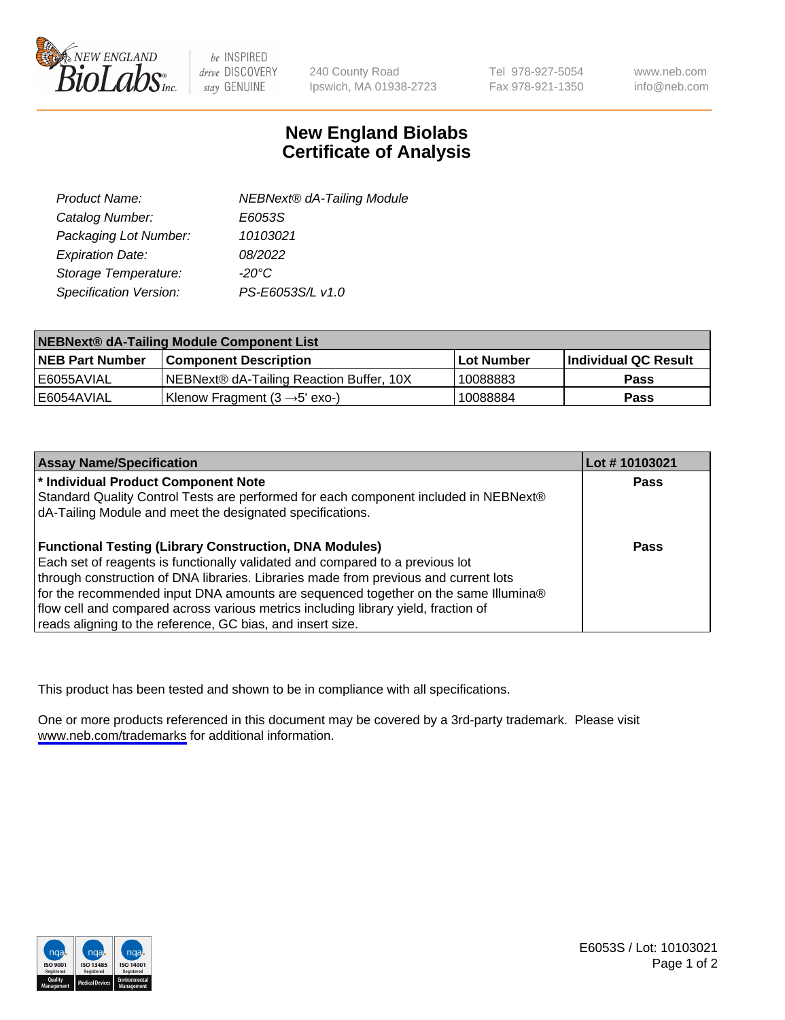

be INSPIRED drive DISCOVERY stay GENUINE

240 County Road Ipswich, MA 01938-2723 Tel 978-927-5054 Fax 978-921-1350

www.neb.com info@neb.com

## **New England Biolabs Certificate of Analysis**

| Product Name:           | <b>NEBNext® dA-Tailing Module</b> |
|-------------------------|-----------------------------------|
| Catalog Number:         | E6053S                            |
| Packaging Lot Number:   | 10103021                          |
| <b>Expiration Date:</b> | 08/2022                           |
| Storage Temperature:    | $-20^{\circ}$ C                   |
| Specification Version:  | PS-E6053S/L v1.0                  |

| NEBNext® dA-Tailing Module Component List |                                           |            |                      |  |
|-------------------------------------------|-------------------------------------------|------------|----------------------|--|
| <b>NEB Part Number</b>                    | <b>Component Description</b>              | Lot Number | Individual QC Result |  |
| l E6055AVIAL                              | NEBNext® dA-Tailing Reaction Buffer, 10X  | 10088883   | <b>Pass</b>          |  |
| I E6054AVIAL                              | Klenow Fragment $(3 \rightarrow 5'$ exo-) | 10088884   | <b>Pass</b>          |  |

| <b>Assay Name/Specification</b>                                                      | Lot #10103021 |
|--------------------------------------------------------------------------------------|---------------|
| * Individual Product Component Note                                                  | <b>Pass</b>   |
| Standard Quality Control Tests are performed for each component included in NEBNext® |               |
| dA-Tailing Module and meet the designated specifications.                            |               |
| <b>Functional Testing (Library Construction, DNA Modules)</b>                        | <b>Pass</b>   |
| Each set of reagents is functionally validated and compared to a previous lot        |               |
| through construction of DNA libraries. Libraries made from previous and current lots |               |
| for the recommended input DNA amounts are sequenced together on the same Illumina®   |               |
| flow cell and compared across various metrics including library yield, fraction of   |               |
| reads aligning to the reference, GC bias, and insert size.                           |               |

This product has been tested and shown to be in compliance with all specifications.

One or more products referenced in this document may be covered by a 3rd-party trademark. Please visit <www.neb.com/trademarks>for additional information.